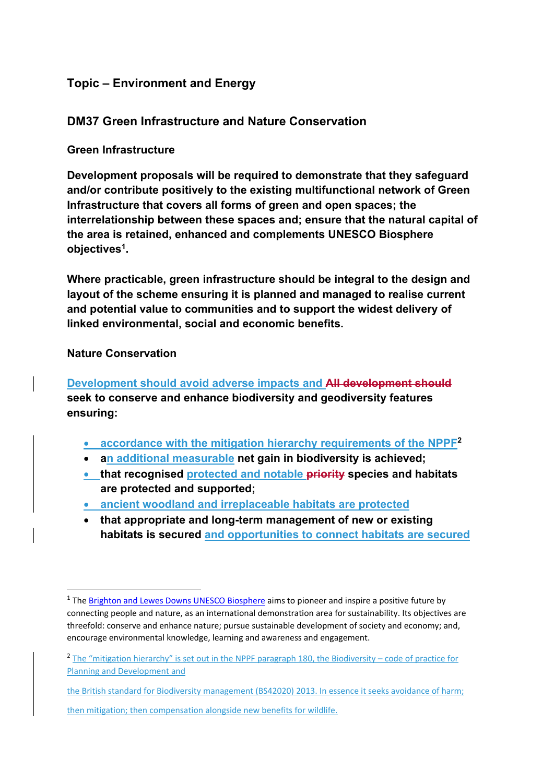# **Topic – Environment and Energy**

## **DM37 Green Infrastructure and Nature Conservation**

#### **Green Infrastructure**

**Development proposals will be required to demonstrate that they safeguard and/or contribute positively to the existing multifunctional network of Green Infrastructure that covers all forms of green and open spaces; the interrelationship between these spaces and; ensure that the natural capital of the area is retained, enhanced and complements UNESCO Biosphere objectives1.** 

**Where practicable, green infrastructure should be integral to the design and layout of the scheme ensuring it is planned and managed to realise current and potential value to communities and to support the widest delivery of linked environmental, social and economic benefits.** 

#### **Nature Conservation**

**Development should avoid adverse impacts and All development should seek to conserve and enhance biodiversity and geodiversity features ensuring:** 

- **accordance with the mitigation hierarchy requirements of the NPPF2**
- **an additional measurable net gain in biodiversity is achieved;**
- **that recognised protected and notable priority species and habitats are protected and supported;**
- **ancient woodland and irreplaceable habitats are protected**
- **that appropriate and long-term management of new or existing habitats is secured and opportunities to connect habitats are secured**

then mitigation; then compensation alongside new benefits for wildlife.

<sup>&</sup>lt;sup>1</sup> The Brighton and Lewes Downs UNESCO Biosphere aims to pioneer and inspire a positive future by connecting people and nature, as an international demonstration area for sustainability. Its objectives are threefold: conserve and enhance nature; pursue sustainable development of society and economy; and, encourage environmental knowledge, learning and awareness and engagement.

<sup>&</sup>lt;sup>2</sup> The "mitigation hierarchy" is set out in the NPPF paragraph 180, the Biodiversity – code of practice for Planning and Development and

the British standard for Biodiversity management (BS42020) 2013. In essence it seeks avoidance of harm;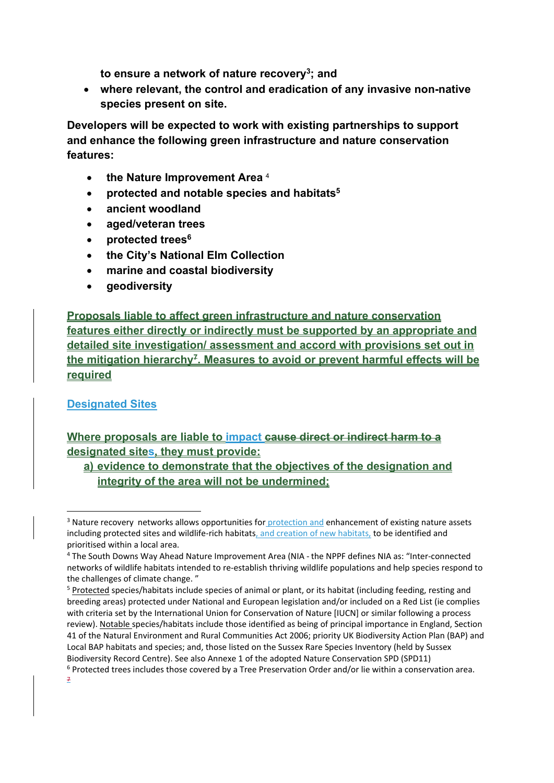**to ensure a network of nature recovery3; and** 

 **where relevant, the control and eradication of any invasive non-native species present on site.** 

**Developers will be expected to work with existing partnerships to support and enhance the following green infrastructure and nature conservation features:** 

- **the Nature Improvement Area** <sup>4</sup>
- **protected and notable species and habitats5**
- **ancient woodland**
- **aged/veteran trees**
- **protected trees6**
- **the City's National Elm Collection**
- **marine and coastal biodiversity**
- **geodiversity**

**Proposals liable to affect green infrastructure and nature conservation features either directly or indirectly must be supported by an appropriate and detailed site investigation/ assessment and accord with provisions set out in**  the mitigation hierarchy<sup>7</sup>. Measures to avoid or prevent harmful effects will be **required**

# **Designated Sites**

# **Where proposals are liable to impact cause direct or indirect harm to a designated sites, they must provide:**

**a) evidence to demonstrate that the objectives of the designation and integrity of the area will not be undermined;** 

<sup>&</sup>lt;sup>3</sup> Nature recovery networks allows opportunities for protection and enhancement of existing nature assets including protected sites and wildlife-rich habitats, and creation of new habitats, to be identified and prioritised within a local area.

<sup>4</sup> The South Downs Way Ahead Nature Improvement Area (NIA ‐ the NPPF defines NIA as: "Inter‐connected networks of wildlife habitats intended to re‐establish thriving wildlife populations and help species respond to the challenges of climate change. "

<sup>5</sup> Protected species/habitats include species of animal or plant, or its habitat (including feeding, resting and breeding areas) protected under National and European legislation and/or included on a Red List (ie complies with criteria set by the International Union for Conservation of Nature [IUCN] or similar following a process review). Notable species/habitats include those identified as being of principal importance in England, Section 41 of the Natural Environment and Rural Communities Act 2006; priority UK Biodiversity Action Plan (BAP) and Local BAP habitats and species; and, those listed on the Sussex Rare Species Inventory (held by Sussex Biodiversity Record Centre). See also Annexe 1 of the adopted Nature Conservation SPD (SPD11)

<sup>6</sup> Protected trees includes those covered by a Tree Preservation Order and/or lie within a conservation area. 7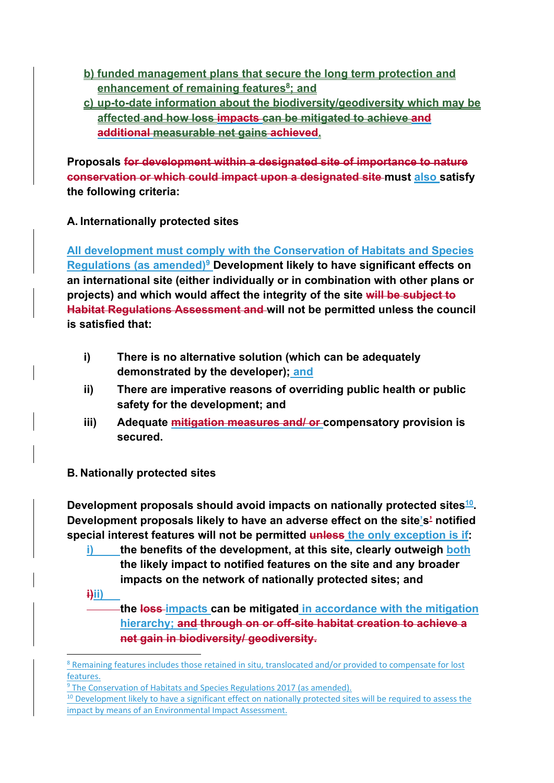- **b) funded management plans that secure the long term protection and enhancement of remaining features<sup>8</sup>; and**
- **c) up-to-date information about the biodiversity/geodiversity which may be affected and how loss impacts can be mitigated to achieve and additional measurable net gains achieved.**

**Proposals for development within a designated site of importance to nature conservation or which could impact upon a designated site must also satisfy the following criteria:** 

# **A. Internationally protected sites**

**All development must comply with the Conservation of Habitats and Species Regulations (as amended)9 Development likely to have significant effects on an international site (either individually or in combination with other plans or projects) and which would affect the integrity of the site will be subject to Habitat Regulations Assessment and will not be permitted unless the council is satisfied that:** 

- **i) There is no alternative solution (which can be adequately demonstrated by the developer); and**
- **ii) There are imperative reasons of overriding public health or public safety for the development; and**
- **iii) Adequate mitigation measures and/ or compensatory provision is secured.**

# **B. Nationally protected sites**

**Development proposals should avoid impacts on nationally protected sites<sup>10</sup>. Development proposals likely to have an adverse effect on the site's' notified special interest features will not be permitted unless the only exception is if:** 

- **i) the benefits of the development, at this site, clearly outweigh both the likely impact to notified features on the site and any broader impacts on the network of nationally protected sites; and**
- **i)ii)**

**the loss impacts can be mitigated in accordance with the mitigation hierarchy; and through on or off-site habitat creation to achieve a net gain in biodiversity/ geodiversity.** 

<sup>&</sup>lt;sup>8</sup> Remaining features includes those retained in situ, translocated and/or provided to compensate for lost features.

<sup>&</sup>lt;sup>9</sup> The Conservation of Habitats and Species Regulations 2017 (as amended).

<sup>&</sup>lt;sup>10</sup> Development likely to have a significant effect on nationally protected sites will be required to assess the impact by means of an Environmental Impact Assessment.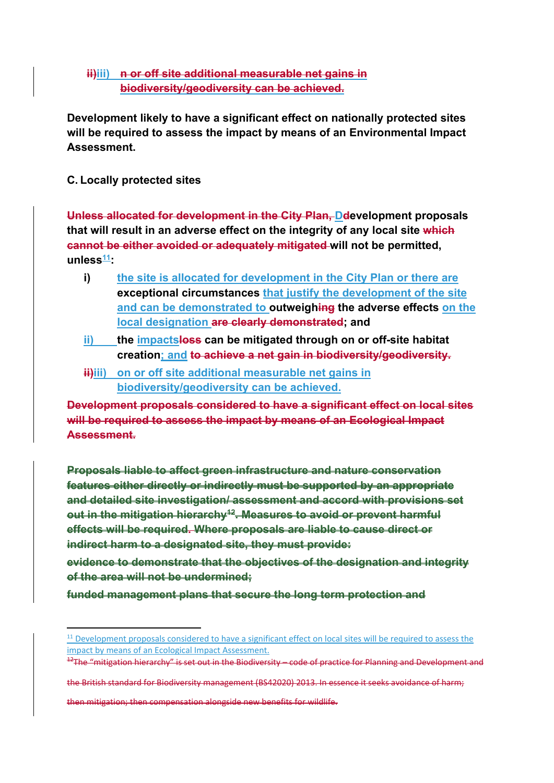#### **ii)iii)** n or off site additional measurable net gains in **biodiversity/geodiversity can be achieved.**

**Development likely to have a significant effect on nationally protected sites will be required to assess the impact by means of an Environmental Impact Assessment.** 

## **C. Locally protected sites**

**Unless allocated for development in the City Plan, Ddevelopment proposals that will result in an adverse effect on the integrity of any local site which cannot be either avoided or adequately mitigated will not be permitted,**  unless<sup>11</sup>:

- **i) the site is allocated for development in the City Plan or there are exceptional circumstances that justify the development of the site and can be demonstrated to outweighing the adverse effects on the local designation are clearly demonstrated; and**
- **ii) the impactsloss can be mitigated through on or off-site habitat creation; and to achieve a net gain in biodiversity/geodiversity.**
- **iiiii)** on or off site additional measurable net gains in **biodiversity/geodiversity can be achieved.**

**Development proposals considered to have a significant effect on local sites will be required to assess the impact by means of an Ecological Impact Assessment.** 

**Proposals liable to affect green infrastructure and nature conservation features either directly or indirectly must be supported by an appropriate and detailed site investigation/ assessment and accord with provisions set**  out in the mitigation hierarchy<sup>42</sup>. Measures to avoid or prevent harmful **effects will be required. Where proposals are liable to cause direct or indirect harm to a designated site, they must provide:** 

**evidence to demonstrate that the objectives of the designation and integrity of the area will not be undermined;** 

**funded management plans that secure the long term protection and** 

the British standard for Biodiversity management (BS42020) 2013. In essence it seeks avoidance of harm;

then mitigation; then compensation alongside new benefits for wildlife.

<sup>&</sup>lt;sup>11</sup> Development proposals considered to have a significant effect on local sites will be required to assess the impact by means of an Ecological Impact Assessment.

<sup>&</sup>lt;sup>12</sup>The "mitigation hierarchy" is set out in the Biodiversity – code of practice for Planning and Development and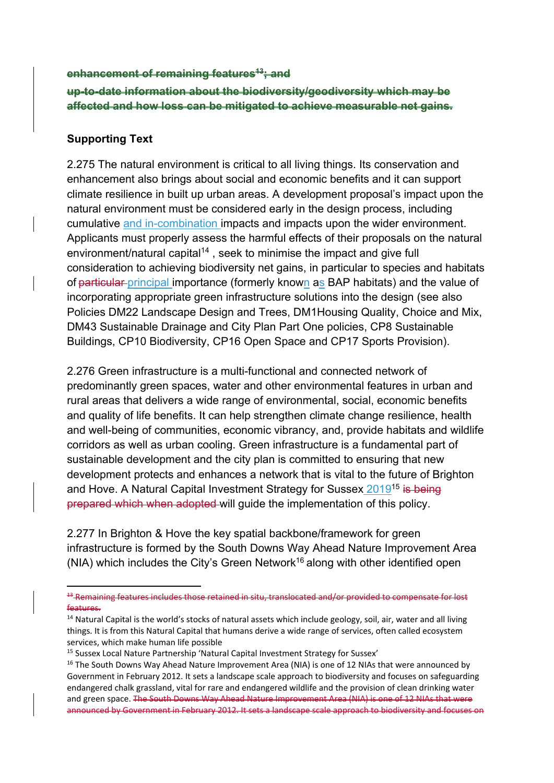#### **enhancement of remaining features13; and**

**up-to-date information about the biodiversity/geodiversity which may be affected and how loss can be mitigated to achieve measurable net gains.** 

#### **Supporting Text**

2.275 The natural environment is critical to all living things. Its conservation and enhancement also brings about social and economic benefits and it can support climate resilience in built up urban areas. A development proposal's impact upon the natural environment must be considered early in the design process, including cumulative and in-combination impacts and impacts upon the wider environment. Applicants must properly assess the harmful effects of their proposals on the natural environment/natural capital<sup>14</sup>, seek to minimise the impact and give full consideration to achieving biodiversity net gains, in particular to species and habitats of particular principal importance (formerly known as BAP habitats) and the value of incorporating appropriate green infrastructure solutions into the design (see also Policies DM22 Landscape Design and Trees, DM1Housing Quality, Choice and Mix, DM43 Sustainable Drainage and City Plan Part One policies, CP8 Sustainable Buildings, CP10 Biodiversity, CP16 Open Space and CP17 Sports Provision).

2.276 Green infrastructure is a multi-functional and connected network of predominantly green spaces, water and other environmental features in urban and rural areas that delivers a wide range of environmental, social, economic benefits and quality of life benefits. It can help strengthen climate change resilience, health and well-being of communities, economic vibrancy, and, provide habitats and wildlife corridors as well as urban cooling. Green infrastructure is a fundamental part of sustainable development and the city plan is committed to ensuring that new development protects and enhances a network that is vital to the future of Brighton and Hove. A Natural Capital Investment Strategy for Sussex 2019<sup>15</sup> is being prepared which when adopted will guide the implementation of this policy.

2.277 In Brighton & Hove the key spatial backbone/framework for green infrastructure is formed by the South Downs Way Ahead Nature Improvement Area (NIA) which includes the City's Green Network<sup>16</sup> along with other identified open

<sup>13</sup> Remaining features includes those retained in situ, translocated and/or provided to compensate for lost features.

<sup>&</sup>lt;sup>14</sup> Natural Capital is the world's stocks of natural assets which include geology, soil, air, water and all living things. It is from this Natural Capital that humans derive a wide range of services, often called ecosystem services, which make human life possible

<sup>&</sup>lt;sup>15</sup> Sussex Local Nature Partnership 'Natural Capital Investment Strategy for Sussex'

<sup>&</sup>lt;sup>16</sup> The South Downs Way Ahead Nature Improvement Area (NIA) is one of 12 NIAs that were announced by Government in February 2012. It sets a landscape scale approach to biodiversity and focuses on safeguarding endangered chalk grassland, vital for rare and endangered wildlife and the provision of clean drinking water and green space. The South Downs Way Ahead Nature Improvement Area (NIA) is one of 12 NIAs that were announced by Government in February 2012. It sets a landscape scale approach to biodiversity and focuses on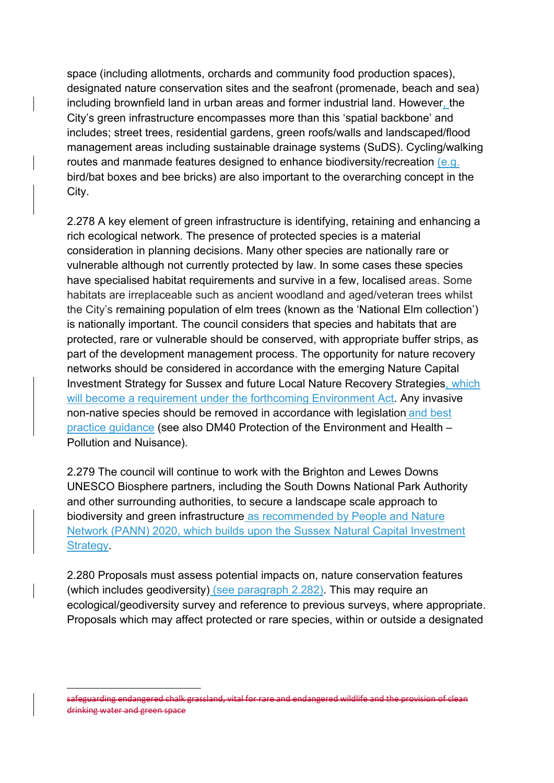space (including allotments, orchards and community food production spaces), designated nature conservation sites and the seafront (promenade, beach and sea) including brownfield land in urban areas and former industrial land. However, the City's green infrastructure encompasses more than this 'spatial backbone' and includes; street trees, residential gardens, green roofs/walls and landscaped/flood management areas including sustainable drainage systems (SuDS). Cycling/walking routes and manmade features designed to enhance biodiversity/recreation (e.g. bird/bat boxes and bee bricks) are also important to the overarching concept in the City.

2.278 A key element of green infrastructure is identifying, retaining and enhancing a rich ecological network. The presence of protected species is a material consideration in planning decisions. Many other species are nationally rare or vulnerable although not currently protected by law. In some cases these species have specialised habitat requirements and survive in a few, localised areas. Some habitats are irreplaceable such as ancient woodland and aged/veteran trees whilst the City's remaining population of elm trees (known as the 'National Elm collection') is nationally important. The council considers that species and habitats that are protected, rare or vulnerable should be conserved, with appropriate buffer strips, as part of the development management process. The opportunity for nature recovery networks should be considered in accordance with the emerging Nature Capital Investment Strategy for Sussex and future Local Nature Recovery Strategies, which will become a requirement under the forthcoming Environment Act. Any invasive non-native species should be removed in accordance with legislation and best practice guidance (see also DM40 Protection of the Environment and Health – Pollution and Nuisance).

2.279 The council will continue to work with the Brighton and Lewes Downs UNESCO Biosphere partners, including the South Downs National Park Authority and other surrounding authorities, to secure a landscape scale approach to biodiversity and green infrastructure as recommended by People and Nature Network (PANN) 2020, which builds upon the Sussex Natural Capital Investment Strategy.

2.280 Proposals must assess potential impacts on, nature conservation features (which includes geodiversity) (see paragraph 2.282). This may require an ecological/geodiversity survey and reference to previous surveys, where appropriate. Proposals which may affect protected or rare species, within or outside a designated

safeguarding endangered chalk grassland, vital for rare and endangered wildlife and the provision of clean drinking water and green space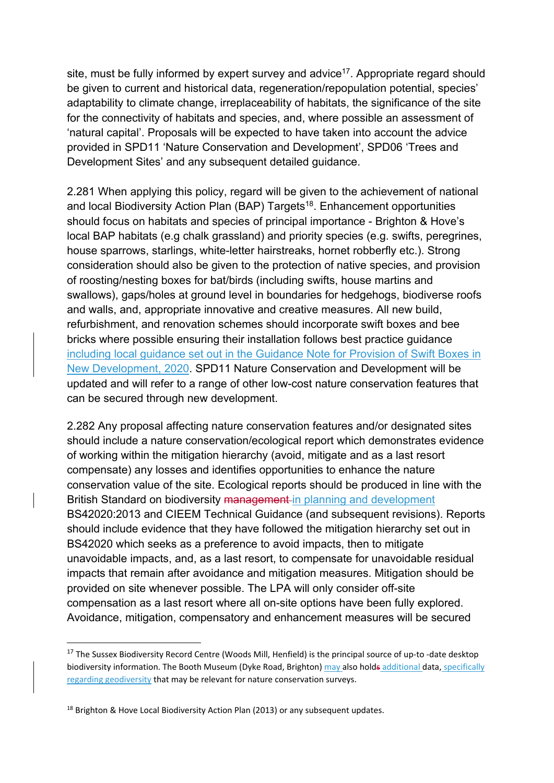site, must be fully informed by expert survey and advice<sup>17</sup>. Appropriate regard should be given to current and historical data, regeneration/repopulation potential, species' adaptability to climate change, irreplaceability of habitats, the significance of the site for the connectivity of habitats and species, and, where possible an assessment of 'natural capital'. Proposals will be expected to have taken into account the advice provided in SPD11 'Nature Conservation and Development', SPD06 'Trees and Development Sites' and any subsequent detailed guidance.

2.281 When applying this policy, regard will be given to the achievement of national and local Biodiversity Action Plan (BAP) Targets<sup>18</sup>. Enhancement opportunities should focus on habitats and species of principal importance - Brighton & Hove's local BAP habitats (e.g chalk grassland) and priority species (e.g. swifts, peregrines, house sparrows, starlings, white-letter hairstreaks, hornet robberfly etc.). Strong consideration should also be given to the protection of native species, and provision of roosting/nesting boxes for bat/birds (including swifts, house martins and swallows), gaps/holes at ground level in boundaries for hedgehogs, biodiverse roofs and walls, and, appropriate innovative and creative measures. All new build, refurbishment, and renovation schemes should incorporate swift boxes and bee bricks where possible ensuring their installation follows best practice guidance including local guidance set out in the Guidance Note for Provision of Swift Boxes in New Development, 2020. SPD11 Nature Conservation and Development will be updated and will refer to a range of other low-cost nature conservation features that can be secured through new development.

2.282 Any proposal affecting nature conservation features and/or designated sites should include a nature conservation/ecological report which demonstrates evidence of working within the mitigation hierarchy (avoid, mitigate and as a last resort compensate) any losses and identifies opportunities to enhance the nature conservation value of the site. Ecological reports should be produced in line with the British Standard on biodiversity management in planning and development BS42020:2013 and CIEEM Technical Guidance (and subsequent revisions). Reports should include evidence that they have followed the mitigation hierarchy set out in BS42020 which seeks as a preference to avoid impacts, then to mitigate unavoidable impacts, and, as a last resort, to compensate for unavoidable residual impacts that remain after avoidance and mitigation measures. Mitigation should be provided on site whenever possible. The LPA will only consider off-site compensation as a last resort where all on-site options have been fully explored. Avoidance, mitigation, compensatory and enhancement measures will be secured

<sup>&</sup>lt;sup>17</sup> The Sussex Biodiversity Record Centre (Woods Mill, Henfield) is the principal source of up-to -date desktop biodiversity information. The Booth Museum (Dyke Road, Brighton) may also holds additional data, specifically regarding geodiversity that may be relevant for nature conservation surveys.

<sup>&</sup>lt;sup>18</sup> Brighton & Hove Local Biodiversity Action Plan (2013) or any subsequent updates.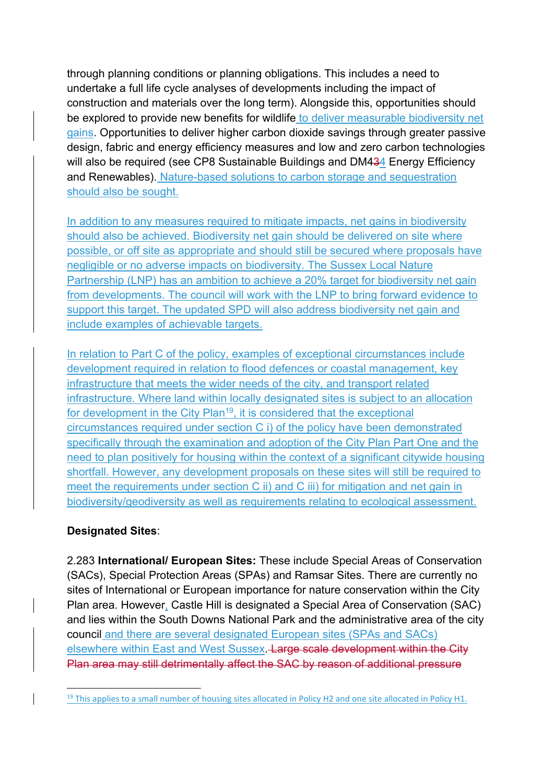through planning conditions or planning obligations. This includes a need to undertake a full life cycle analyses of developments including the impact of construction and materials over the long term). Alongside this, opportunities should be explored to provide new benefits for wildlife to deliver measurable biodiversity net gains. Opportunities to deliver higher carbon dioxide savings through greater passive design, fabric and energy efficiency measures and low and zero carbon technologies will also be required (see CP8 Sustainable Buildings and DM434 Energy Efficiency and Renewables). Nature-based solutions to carbon storage and sequestration should also be sought.

In addition to any measures required to mitigate impacts, net gains in biodiversity should also be achieved. Biodiversity net gain should be delivered on site where possible, or off site as appropriate and should still be secured where proposals have negligible or no adverse impacts on biodiversity. The Sussex Local Nature Partnership (LNP) has an ambition to achieve a 20% target for biodiversity net gain from developments. The council will work with the LNP to bring forward evidence to support this target. The updated SPD will also address biodiversity net gain and include examples of achievable targets.

In relation to Part C of the policy, examples of exceptional circumstances include development required in relation to flood defences or coastal management, key infrastructure that meets the wider needs of the city, and transport related infrastructure. Where land within locally designated sites is subject to an allocation for development in the City Plan<sup>19</sup>, it is considered that the exceptional circumstances required under section C i) of the policy have been demonstrated specifically through the examination and adoption of the City Plan Part One and the need to plan positively for housing within the context of a significant citywide housing shortfall. However, any development proposals on these sites will still be required to meet the requirements under section C ii) and C iii) for mitigation and net gain in biodiversity/geodiversity as well as requirements relating to ecological assessment.

### **Designated Sites**:

2.283 **International/ European Sites:** These include Special Areas of Conservation (SACs), Special Protection Areas (SPAs) and Ramsar Sites. There are currently no sites of International or European importance for nature conservation within the City Plan area. However, Castle Hill is designated a Special Area of Conservation (SAC) and lies within the South Downs National Park and the administrative area of the city council and there are several designated European sites (SPAs and SACs) elsewhere within East and West Sussex. Large scale development within the City Plan area may still detrimentally affect the SAC by reason of additional pressure

<sup>&</sup>lt;sup>19</sup> This applies to a small number of housing sites allocated in Policy H2 and one site allocated in Policy H1.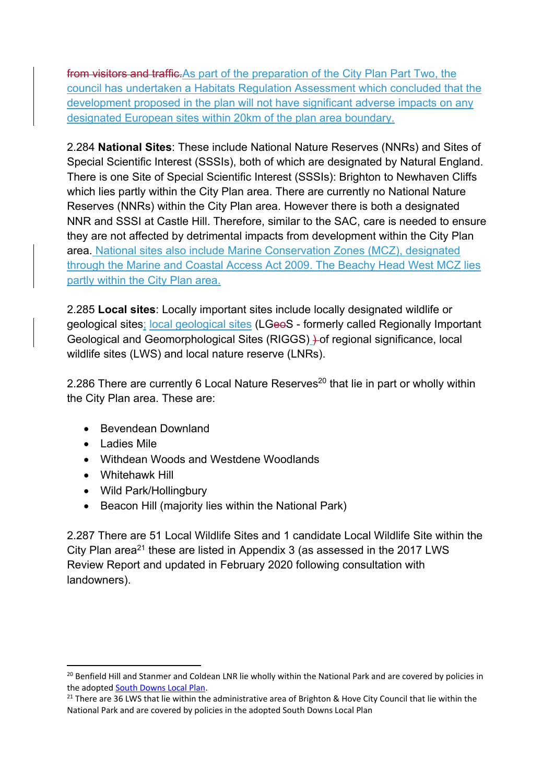from visitors and traffic. As part of the preparation of the City Plan Part Two, the council has undertaken a Habitats Regulation Assessment which concluded that the development proposed in the plan will not have significant adverse impacts on any designated European sites within 20km of the plan area boundary.

2.284 **National Sites**: These include National Nature Reserves (NNRs) and Sites of Special Scientific Interest (SSSIs), both of which are designated by Natural England. There is one Site of Special Scientific Interest (SSSIs): Brighton to Newhaven Cliffs which lies partly within the City Plan area. There are currently no National Nature Reserves (NNRs) within the City Plan area. However there is both a designated NNR and SSSI at Castle Hill. Therefore, similar to the SAC, care is needed to ensure they are not affected by detrimental impacts from development within the City Plan area. National sites also include Marine Conservation Zones (MCZ), designated through the Marine and Coastal Access Act 2009. The Beachy Head West MCZ lies partly within the City Plan area.

2.285 **Local sites**: Locally important sites include locally designated wildlife or geological sites; local geological sites (LGeoS - formerly called Regionally Important Geological and Geomorphological Sites (RIGGS) ) of regional significance, local wildlife sites (LWS) and local nature reserve (LNRs).

2.286 There are currently 6 Local Nature Reserves<sup>20</sup> that lie in part or wholly within the City Plan area. These are:

- Bevendean Downland
- Ladies Mile
- Withdean Woods and Westdene Woodlands
- Whitehawk Hill
- Wild Park/Hollingbury
- Beacon Hill (majority lies within the National Park)

2.287 There are 51 Local Wildlife Sites and 1 candidate Local Wildlife Site within the City Plan area<sup>21</sup> these are listed in Appendix 3 (as assessed in the 2017 LWS Review Report and updated in February 2020 following consultation with landowners).

<sup>&</sup>lt;sup>20</sup> Benfield Hill and Stanmer and Coldean LNR lie wholly within the National Park and are covered by policies in the adopted South Downs Local Plan.

<sup>&</sup>lt;sup>21</sup> There are 36 LWS that lie within the administrative area of Brighton & Hove City Council that lie within the National Park and are covered by policies in the adopted South Downs Local Plan